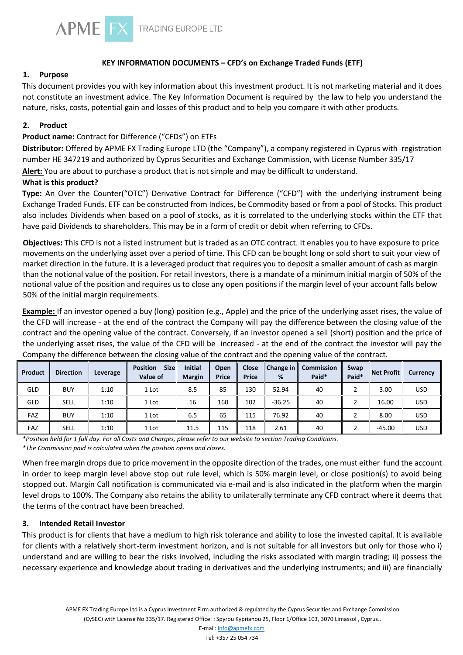

# **KEY INFORMATION DOCUMENTS – CFD's on Exchange Traded Funds (ETF)**

# **1. Purpose**

This document provides you with key information about this investment product. It is not marketing material and it does not constitute an investment advice. The Key Information Document is required by the law to help you understand the nature, risks, costs, potential gain and losses of this product and to help you compare it with other products.

### **2. Product**

# **Product name:** Contract for Difference ("CFDs") on ETFs

**Distributor:** Offered by APME FX Trading Europe LTD (the "Company"), a company registered in Cyprus with registration number HE 347219 and authorized by Cyprus Securities and Exchange Commission, with License Number 335/17

**Alert:** You are about to purchase a product that is not simple and may be difficult to understand.

# **What is this product?**

**Type:** An Over the Counter("OTC") Derivative Contract for Difference ("CFD") with the underlying instrument being Exchange Traded Funds. ETF can be constructed from Indices, be Commodity based or from a pool of Stocks. This product also includes Dividends when based on a pool of stocks, as it is correlated to the underlying stocks within the ETF that have paid Dividends to shareholders. This may be in a form of credit or debit when referring to CFDs.

**Objectives:** This CFD is not a listed instrument but is traded as an OTC contract. It enables you to have exposure to price movements on the underlying asset over a period of time. This CFD can be bought long or sold short to suit your view of market direction in the future. It is a leveraged product that requires you to deposit a smaller amount of cash as margin than the notional value of the position. For retail investors, there is a mandate of a minimum initial margin of 50% of the notional value of the position and requires us to close any open positions if the margin level of your account falls below 50% of the initial margin requirements.

**Example:** If an investor opened a buy (long) position (e.g., Apple) and the price of the underlying asset rises, the value of the CFD will increase - at the end of the contract the Company will pay the difference between the closing value of the contract and the opening value of the contract. Conversely, if an investor opened a sell (short) position and the price of the underlying asset rises, the value of the CFD will be increased - at the end of the contract the investor will pay the Company the difference between the closing value of the contract and the opening value of the contract.

| Product | <b>Direction</b> | Leverage | <b>Sizel</b><br><b>Position</b><br>Value of | <b>Initial</b><br><b>Margin</b> | Open<br><b>Price</b> | Close<br><b>Price</b> | $\blacksquare$ Change in $\blacksquare$<br>% | <b>Commission</b><br>Paid* | Swap<br>Paid* | Net Profit | Currency   |
|---------|------------------|----------|---------------------------------------------|---------------------------------|----------------------|-----------------------|----------------------------------------------|----------------------------|---------------|------------|------------|
| GLD     | <b>BUY</b>       | 1:10     | 1 Lot                                       | 8.5                             | 85                   | 130                   | 52.94                                        | 40                         |               | 3.00       | USD        |
| GLD     | <b>SELL</b>      | 1:10     | 1 Lot                                       | 16                              | 160                  | 102                   | $-36.25$                                     | 40                         |               | 16.00      | USD        |
| FAZ     | <b>BUY</b>       | 1:10     | 1 Lot                                       | 6.5                             | 65                   | 115                   | 76.92                                        | 40                         |               | 8.00       | <b>USD</b> |
| FAZ     | <b>SELL</b>      | 1:10     | 1 Lot                                       | 11.5                            | 115                  | 118                   | 2.61                                         | 40                         |               | $-45.00$   | <b>USD</b> |

*\*Position held for 1 full day. For all Costs and Charges, please refer to our website to section Trading Conditions. \*The Commission paid is calculated when the position opens and closes.* 

When free margin drops due to price movement in the opposite direction of the trades, one must either fund the account in order to keep margin level above stop out rule level, which is 50% margin level, or close position(s) to avoid being stopped out. Margin Call notification is communicated via e-mail and is also indicated in the platform when the margin level drops to 100%. The Company also retains the ability to unilaterally terminate any CFD contract where it deems that the terms of the contract have been breached.

#### **3. Intended Retail Investor**

This product is for clients that have a medium to high risk tolerance and ability to lose the invested capital. It is available for clients with a relatively short-term investment horizon, and is not suitable for all investors but only for those who i) understand and are willing to bear the risks involved, including the risks associated with margin trading; ii) possess the necessary experience and knowledge about trading in derivatives and the underlying instruments; and iii) are financially

E-mail: info@apmefx.com Tel: +357 25 054 734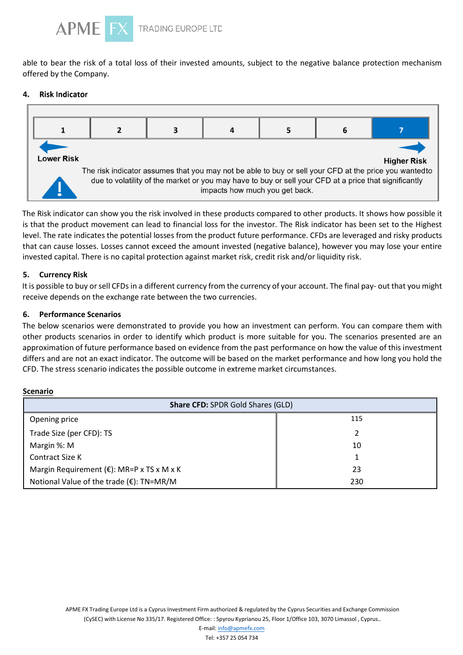

able to bear the risk of a total loss of their invested amounts, subject to the negative balance protection mechanism offered by the Company.

#### 4. **Risk Indicator**



The Risk indicator can show you the risk involved in these products compared to other products. It shows how possible it is that the product movement can lead to financial loss for the investor. The Risk indicator has been set to the Highest level. The rate indicates the potential losses from the product future performance. CFDs are leveraged and risky products that can cause losses. Losses cannot exceed the amount invested (negative balance), however you may lose your entire invested capital. There is no capital protection against market risk, credit risk and/or liquidity risk.

# **5. Currency Risk**

It is possible to buy or sell CFDs in a different currency from the currency of your account. The final pay- out that you might receive depends on the exchange rate between the two currencies.

# **6. Performance Scenarios**

The below scenarios were demonstrated to provide you how an investment can perform. You can compare them with other products scenarios in order to identify which product is more suitable for you. The scenarios presented are an approximation of future performance based on evidence from the past performance on how the value of this investment differs and are not an exact indicator. The outcome will be based on the market performance and how long you hold the CFD. The stress scenario indicates the possible outcome in extreme market circumstances.

#### **Scenario**

| <b>Share CFD: SPDR Gold Shares (GLD)</b>             |     |  |  |  |  |
|------------------------------------------------------|-----|--|--|--|--|
| Opening price                                        | 115 |  |  |  |  |
| Trade Size (per CFD): TS                             | າ   |  |  |  |  |
| Margin %: M                                          | 10  |  |  |  |  |
| <b>Contract Size K</b>                               |     |  |  |  |  |
| Margin Requirement ( $\epsilon$ ): MR=P x TS x M x K | 23  |  |  |  |  |
| Notional Value of the trade ( $E$ ): TN=MR/M         | 230 |  |  |  |  |

APME FX Trading Europe Ltd is a Cyprus Investment Firm authorized & regulated by the Cyprus Securities and Exchange Commission (CySEC) with License No 335/17. Registered Office: : Spyrou Kyprianou 25, Floor 1/Office 103, 3070 Limassol , Cyprus..

E-mail: info@apmefx.com

Tel: +357 25 054 734